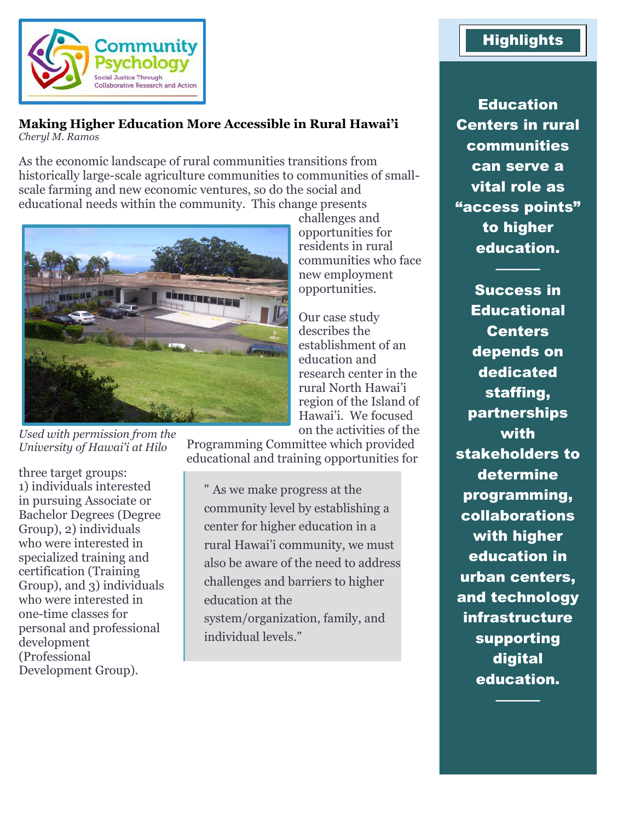

#### **Making Higher Education More Accessible in Rural Hawai'i** *Cheryl M. Ramos*

As the economic landscape of rural communities transitions from historically large-scale agriculture communities to communities of smallscale farming and new economic ventures, so do the social and educational needs within the community. This change presents



*Used with permission from the University of Hawai'i at Hilo*

three target groups: 1) individuals interested in pursuing Associate or Bachelor Degrees (Degree Group), 2) individuals who were interested in specialized training and certification (Training Group), and 3) individuals who were interested in one-time classes for personal and professional development (Professional Development Group).

challenges and opportunities for residents in rural communities who face new employment opportunities.

Our case study describes the establishment of an education and research center in the rural North Hawai'i region of the Island of Hawai'i. We focused on the activities of the

Programming Committee which provided educational and training opportunities for

" As we make progress at the community level by establishing a center for higher education in a rural Hawai'i community, we must also be aware of the need to address challenges and barriers to higher education at the system/organization, family, and individual levels."

# **Highlights**

**Education** Centers in rural **communities** can serve a vital role as "access points" to higher education.

────

Success in **Educational Centers** depends on dedicated staffing, partnerships with stakeholders to determine programming, collaborations with higher education in urban centers, and technology infrastructure supporting digital education.

────